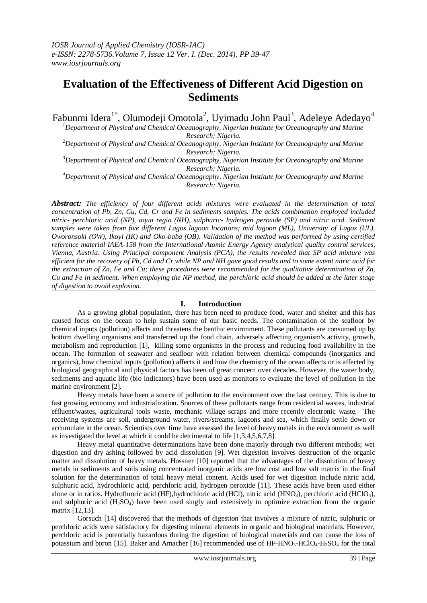# **Evaluation of the Effectiveness of Different Acid Digestion on Sediments**

Fabunmi Idera $^{1*}$ , Olumodeji Omotola $^{2}$ , Uyimadu John Paul $^{3}$ , Adeleye Adedayo $^{4}$ 

*<sup>1</sup>Department of Physical and Chemical Oceanography, Nigerian Institute for Oceanography and Marine Research; Nigeria.*

*<sup>2</sup>Department of Physical and Chemical Oceanography, Nigerian Institute for Oceanography and Marine Research; Nigeria.*

*<sup>3</sup>Department of Physical and Chemical Oceanography, Nigerian Institute for Oceanography and Marine Research; Nigeria.*

*<sup>4</sup>Department of Physical and Chemical Oceanography, Nigerian Institute for Oceanography and Marine Research; Nigeria.*

*Abstract: The efficiency of four different acids mixtures were evaluated in the determination of total concentration of Pb, Zn, Cu, Cd, Cr and Fe in sediments samples. The acids combination employed included nitric- perchloric acid (NP), aqua regia (NH), sulphuric- hydrogen peroxide (SP) and nitric acid. Sediment samples were taken from five different Lagos lagoon locations; mid lagoon (ML), University of Lagos (UL), Oworonsoki (OW), Ikoyi (IK) and Oko-baba (OB). Validation of the method was performed by using certified reference material IAEA-158 from the International Atomic Energy Agency analytical quality control services, Vienna, Austria. Using Principal component Analysis (PCA), the results revealed that SP acid mixture was efficient for the recovery of Pb, Cd and Cr while NP and NH gave good results and to some extent nitric acid for the extraction of Zn, Fe and Cu; these procedures were recommended for the qualitative determination of Zn, Cu and Fe in sediment. When employing the NP method, the perchloric acid should be added at the later stage of digestion to avoid explosion.*

### **I. Introduction**

As a growing global population, there has been need to produce food, water and shelter and this has caused focus on the ocean to help sustain some of our basic needs. The contamination of the seafloor by chemical inputs (pollution) affects and threatens the benthic environment. These pollutants are consumed up by bottom dwelling organisms and transferred up the food chain, adversely affecting organism's activity, growth, metabolism and reproduction [1], killing some organisms in the process and reducing food availability in the ocean. The formation of seawater and seafloor with relation between chemical compounds (inorganics and organics), how chemical inputs (pollution) affects it and how the chemistry of the ocean affects or is affected by biological geographical and physical factors has been of great concern over decades. However, the water body, sediments and aquatic life (bio indicators) have been used as monitors to evaluate the level of pollution in the marine environment [2].

Heavy metals have been a source of pollution to the environment over the last century. This is due to fast growing economy and industrialization. Sources of these pollutants range from residential wastes, industrial effluent/wastes, agricultural tools waste, mechanic village scraps and more recently electronic waste. The receiving systems are soil, underground water, rivers/streams, lagoons and sea, which finally settle down or accumulate in the ocean. Scientists over time have assessed the level of heavy metals in the environment as well as investigated the level at which it could be detrimental to life [1,3,4,5,6,7,8].

Heavy metal quantitative determinations have been done majorly through two different methods; wet digestion and dry ashing followed by acid dissolution [9]. Wet digestion involves destruction of the organic matter and dissolution of heavy metals. Hossner [10] reported that the advantages of the dissolution of heavy metals in sediments and soils using concentrated inorganic acids are low cost and low salt matrix in the final solution for the determination of total heavy metal content. Acids used for wet digestion include nitric acid, sulphuric acid, hydrochloric acid, perchloric acid, hydrogen peroxide [11]. These acids have been used either alone or in ratios. Hydrofluoric acid (HF),hydrochloric acid (HCl), nitric acid (HNO3), perchloric acid (HClO4), and sulphuric acid  $(H_2SO_4)$  have been used singly and extensively to optimize extraction from the organic matrix [12,13].

Gorsuch [14] discovered that the methods of digestion that involves a mixture of nitric, sulphuric or perchloric acids were satisfactory for digesting mineral elements in organic and biological materials. However, perchloric acid is potentially hazardous during the digestion of biological materials and can cause the loss of potassium and boron [15]. Baker and Amacher [16] recommended use of HF-HNO<sub>3</sub>-HClO<sub>4</sub>-H<sub>2</sub>SO<sub>4</sub> for the total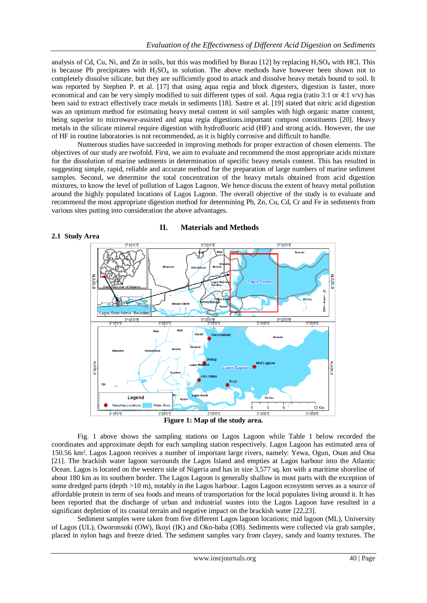analysis of Cd, Cu, Ni, and Zn in soils, but this was modified by Burau  $[12]$  by replacing  $H_2SO_4$  with HCl. This is because Pb precipitates with  $H_2SO_4$  in solution. The above methods have however been shown not to completely dissolve silicate, but they are sufficiently good to attack and dissolve heavy metals bound to soil. It was reported by Stephen P. et al. [17] that using aqua regia and block digesters, digestion is faster, more economical and can be very simply modified to suit different types of soil. Aqua regia (ratio 3:1 or 4:1 v/v) has been said to extract effectively trace metals in sediments [18]. Sastre et al. [19] stated that nitric acid digestion was an optimum method for estimating heavy metal content in soil samples with high organic matter content, being superior to microwave-assisted and aqua regia digestions.important compost constituents [20]. Heavy metals in the silicate mineral require digestion with hydrofluoric acid (HF) and strong acids. However, the use of HF in routine laboratories is not recommended, as it is highly corrosive and difficult to handle.

Numerous studies have succeeded in improving methods for proper extraction of chosen elements. The objectives of our study are twofold. First, we aim to evaluate and recommend the most appropriate acids mixture for the dissolution of marine sediments in determination of specific heavy metals content. This has resulted in suggesting simple, rapid, reliable and accurate method for the preparation of large numbers of marine sediment samples. Second, we determine the total concentration of the heavy metals obtained from acid digestion mixtures, to know the level of pollution of Lagos Lagoon. We hence discuss the extent of heavy metal pollution around the highly populated locations of Lagos Lagoon. The overall objective of the study is to evaluate and recommend the most appropriate digestion method for determining Pb, Zn, Cu, Cd, Cr and Fe in sediments from various sites putting into consideration the above advantages.



**II. Materials and Methods**

**2.1 Study Area**

**Figure 1: Map of the study area.**

Fig. 1 above shows the sampling stations on Lagos Lagoon while Table 1 below recorded the coordinates and approximate depth for each sampling station respectively. Lagos Lagoon has estimated area of 150.56 km². Lagos Lagoon receives a number of important large rivers, namely: Yewa, Ogun, Osun and Ona [21]. The brackish water lagoon surrounds the Lagos Island and empties at Lagos harbour into the Atlantic Ocean. Lagos is located on the western side of Nigeria and has in size 3,577 sq. km with a maritime shoreline of about 180 km as its southern border. The Lagos Lagoon is generally shallow in most parts with the exception of some dredged parts (depth >10 m), notably in the Lagos harbour. Lagos Lagoon ecosystem serves as a source of affordable protein in term of sea foods and means of transportation for the local populates living around it. It has been reported that the discharge of urban and industrial wastes into the Lagos Lagoon have resulted in a significant depletion of its coastal terrain and negative impact on the brackish water [22,23].

Sediment samples were taken from five different Lagos lagoon locations; mid lagoon (ML), University of Lagos (UL), Oworonsoki (OW), Ikoyi (IK) and Oko-baba (OB). Sediments were collected via grab sampler, placed in nylon bags and freeze dried. The sediment samples vary from clayey, sandy and loamy textures. The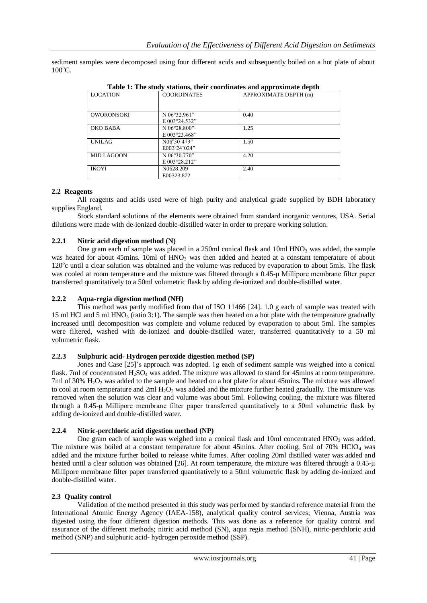sediment samples were decomposed using four different acids and subsequently boiled on a hot plate of about  $100^{\circ}$ C.

| rabic re-rinc state, stations, their coordinates and approximate depth. |                                     |                       |  |  |  |
|-------------------------------------------------------------------------|-------------------------------------|-----------------------|--|--|--|
| <b>LOCATION</b>                                                         | <b>COORDINATES</b>                  | APPROXIMATE DEPTH (m) |  |  |  |
| <b>OWORONSOKI</b>                                                       | N 06°32.961"<br>E 003°24.532"       | 0.40                  |  |  |  |
| OKO BABA                                                                | N 06°28.800"<br>E 003°23.468"       | 1.25                  |  |  |  |
| <b>UNILAG</b>                                                           | N06°30'479"<br>E003°24'024"         | 1.50                  |  |  |  |
| <b>MID LAGOON</b>                                                       | N 06°30.770"<br>E 003°28.212"       | 4.20                  |  |  |  |
| <b>IKOYI</b>                                                            | N <sub>0628.209</sub><br>E00323.872 | 2.40                  |  |  |  |

**Table 1: The study stations, their coordinates and approximate depth**

#### **2.2 Reagents**

All reagents and acids used were of high purity and analytical grade supplied by BDH laboratory supplies England.

Stock standard solutions of the elements were obtained from standard inorganic ventures, USA. Serial dilutions were made with de-ionized double-distilled water in order to prepare working solution.

## **2.2.1 Nitric acid digestion method (N)**

One gram each of sample was placed in a 250ml conical flask and  $10<sub>m</sub>$  HNO<sub>3</sub> was added, the sample was heated for about 45mins. 10ml of  $HNO<sub>3</sub>$  was then added and heated at a constant temperature of about 120°c until a clear solution was obtained and the volume was reduced by evaporation to about 5mls. The flask was cooled at room temperature and the mixture was filtered through a 0.45-μ Millipore membrane filter paper transferred quantitatively to a 50ml volumetric flask by adding de-ionized and double-distilled water.

## **2.2.2 Aqua-regia digestion method (NH)**

This method was partly modified from that of ISO 11466 [24]. 1.0 g each of sample was treated with 15 ml HCl and 5 ml HNO<sub>3</sub> (ratio 3:1). The sample was then heated on a hot plate with the temperature gradually increased until decomposition was complete and volume reduced by evaporation to about 5ml. The samples were filtered, washed with de-ionized and double-distilled water, transferred quantitatively to a 50 ml volumetric flask.

#### **2.2.3 Sulphuric acid- Hydrogen peroxide digestion method (SP)**

Jones and Case [25]'s approach was adopted. 1g each of sediment sample was weighed into a conical flask. 7ml of concentrated  $H_2SO_4$  was added. The mixture was allowed to stand for 45mins at room temperature. 7ml of 30% H<sub>2</sub>O<sub>2</sub> was added to the sample and heated on a hot plate for about 45mins. The mixture was allowed to cool at room temperature and  $2ml$   $H<sub>2</sub>O<sub>2</sub>$  was added and the mixture further heated gradually. The mixture was removed when the solution was clear and volume was about 5ml. Following cooling, the mixture was filtered through a 0.45-μ Millipore membrane filter paper transferred quantitatively to a 50ml volumetric flask by adding de-ionized and double-distilled water.

#### **2.2.4 Nitric-perchloric acid digestion method (NP)**

One gram each of sample was weighed into a conical flask and 10ml concentrated HNO<sub>3</sub> was added. The mixture was boiled at a constant temperature for about 45mins. After cooling, 5ml of 70% HClO<sup>4</sup> was added and the mixture further boiled to release white fumes. After cooling 20ml distilled water was added and heated until a clear solution was obtained [26]. At room temperature, the mixture was filtered through a 0.45-μ Millipore membrane filter paper transferred quantitatively to a 50ml volumetric flask by adding de-ionized and double-distilled water.

#### **2.3 Quality control**

Validation of the method presented in this study was performed by standard reference material from the International Atomic Energy Agency (IAEA-158), analytical quality control services; Vienna, Austria was digested using the four different digestion methods. This was done as a reference for quality control and assurance of the different methods; nitric acid method (SN), aqua regia method (SNH), nitric-perchloric acid method (SNP) and sulphuric acid- hydrogen peroxide method (SSP).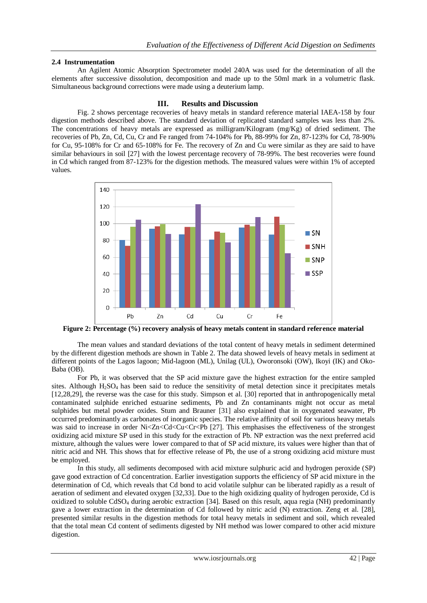#### **2.4 Instrumentation**

An Agilent Atomic Absorption Spectrometer model 240A was used for the determination of all the elements after successive dissolution, decomposition and made up to the 50ml mark in a volumetric flask. Simultaneous background corrections were made using a deuterium lamp.

#### **III. Results and Discussion**

Fig. 2 shows percentage recoveries of heavy metals in standard reference material IAEA-158 by four digestion methods described above. The standard deviation of replicated standard samples was less than 2%. The concentrations of heavy metals are expressed as milligram/Kilogram (mg/Kg) of dried sediment. The recoveries of Pb, Zn, Cd, Cu, Cr and Fe ranged from 74-104% for Pb, 88-99% for Zn, 87-123% for Cd, 78-90% for Cu, 95-108% for Cr and 65-108% for Fe. The recovery of Zn and Cu were similar as they are said to have similar behaviours in soil [27] with the lowest percentage recovery of 78-99%. The best recoveries were found in Cd which ranged from 87-123% for the digestion methods. The measured values were within 1% of accepted values.



**Figure 2: Percentage (%) recovery analysis of heavy metals content in standard reference material**

The mean values and standard deviations of the total content of heavy metals in sediment determined by the different digestion methods are shown in Table 2. The data showed levels of heavy metals in sediment at different points of the Lagos lagoon; Mid-lagoon (ML), Unilag (UL), Oworonsoki (OW), Ikoyi (IK) and Oko-Baba (OB).

For Pb, it was observed that the SP acid mixture gave the highest extraction for the entire sampled sites. Although  $H_2SO_4$  has been said to reduce the sensitivity of metal detection since it precipitates metals [12,28,29], the reverse was the case for this study. Simpson et al. [30] reported that in anthropogenically metal contaminated sulphide enriched estuarine sediments, Pb and Zn contaminants might not occur as metal sulphides but metal powder oxides. Stum and Brauner [31] also explained that in oxygenated seawater, Pb occurred predominantly as carbonates of inorganic species. The relative affinity of soil for various heavy metals was said to increase in order Ni<Zn<Cd<Cu<Cr<Pb [27]. This emphasises the effectiveness of the strongest oxidizing acid mixture SP used in this study for the extraction of Pb. NP extraction was the next preferred acid mixture, although the values were lower compared to that of SP acid mixture, its values were higher than that of nitric acid and NH. This shows that for effective release of Pb, the use of a strong oxidizing acid mixture must be employed.

In this study, all sediments decomposed with acid mixture sulphuric acid and hydrogen peroxide (SP) gave good extraction of Cd concentration. Earlier investigation supports the efficiency of SP acid mixture in the determination of Cd, which reveals that Cd bond to acid volatile sulphur can be liberated rapidly as a result of aeration of sediment and elevated oxygen [32,33]. Due to the high oxidizing quality of hydrogen peroxide, Cd is oxidized to soluble CdSO<sup>4</sup> during aerobic extraction [34]. Based on this result, aqua regia (NH) predominantly gave a lower extraction in the determination of Cd followed by nitric acid (N) extraction. Zeng et al. [28], presented similar results in the digestion methods for total heavy metals in sediment and soil, which revealed that the total mean Cd content of sediments digested by NH method was lower compared to other acid mixture digestion.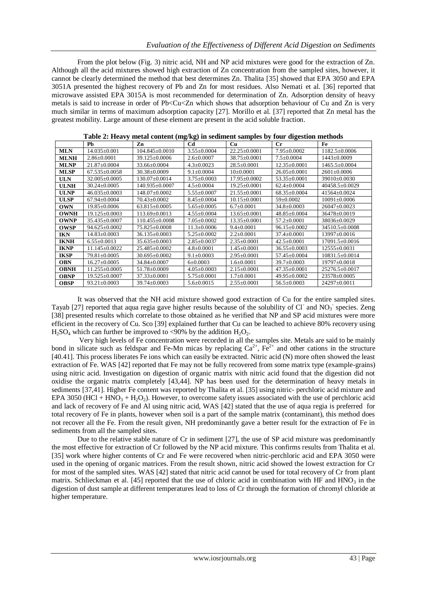From the plot below (Fig. 3) nitric acid, NH and NP acid mixtures were good for the extraction of Zn. Although all the acid mixtures showed high extraction of Zn concentration from the sampled sites, however, it cannot be clearly determined the method that best determines Zn. Thalita [35] showed that EPA 3050 and EPA 3051A presented the highest recovery of Pb and Zn for most residues. Also Nemati et al. [36] reported that microwave assisted EPA 3015A is most recommended for determination of Zn. Adsorption density of heavy metals is said to increase in order of Pb<Cu<Zn which shows that adsorption behaviour of Cu and Zn is very much similar in terms of maximum adsorption capacity [27]. Morillo et al. [37] reported that Zn metal has the greatest mobility. Large amount of these element are present in the acid soluble fraction.

|             | Pb                  | Zn                   | Cd                | <b>Cu</b>          | $_{\rm Cr}$        | Fe                   |
|-------------|---------------------|----------------------|-------------------|--------------------|--------------------|----------------------|
| <b>MLN</b>  | 14.035±0.001        | $104.845 \pm 0.0010$ | $3.55 \pm 0.0004$ | $22.25 \pm 0.0001$ | $7.95 \pm 0.0002$  | $1182.5 \pm 0.0006$  |
| <b>MLNH</b> | $2.86 \pm 0.0001$   | 39.125±0.0006        | $2.6 \pm 0.0007$  | $38.75 \pm 0.0001$ | $7.5 \pm 0.0004$   | $1443 \pm 0.0009$    |
| <b>MLNP</b> | $21.87 \pm 0.0004$  | $33.66 \pm 0.0004$   | $4.3 \pm 0.0023$  | $28.5 \pm 0.0001$  | $12.35 \pm 0.0001$ | $1465.5 \pm 0.0004$  |
| <b>MLSP</b> | $67.535 \pm 0.0058$ | $30.38 \pm 0.0009$   | $9.1 \pm 0.0004$  | $10\pm0.0001$      | $26.05 \pm 0.0001$ | $2601+0.0006$        |
| <b>ULN</b>  | 32.005±0.0005       | 130.07+0.0014        | $3.75 \pm 0.0003$ | $17.95 + 0.0002$   | $53.35+0.0001$     | 39010+0.0030         |
| <b>ULNH</b> | $30.24 \pm 0.0005$  | 140.935±0.0007       | $4.5 \pm 0.0004$  | $19.25 \pm 0.0001$ | $62.4 \pm 0.0004$  | $40458.5 \pm 0.0029$ |
| ULNP        | $46.035 \pm 0.0003$ | 148.07±0.0002        | $5.55 \pm 0.0007$ | $21.55 \pm 0.0001$ | $68.35 \pm 0.0004$ | 41564±0.0024         |
| <b>ULSP</b> | $67.94 \pm 0.0004$  | 70.43±0.0002         | $8.45 \pm 0.0004$ | $10.15 \pm 0.0001$ | $59 \pm 0.0002$    | $10091 \pm 0.0006$   |
| <b>OWN</b>  | $19.85 \pm 0.0006$  | $63.815 \pm 0.0005$  | $5.65 \pm 0.0005$ | $6.7+0.0001$       | $34.8 \pm 0.0003$  | $26047 + 0.0023$     |
| <b>OWNH</b> | $19.125 \pm 0.0003$ | $113.69 \pm 0.0013$  | $4.55 \pm 0.0004$ | $13.65 \pm 0.0001$ | $48.85 \pm 0.0004$ | 36478±0.0019         |
| <b>OWNP</b> | $35.435 \pm 0.0007$ | 110.455±0.0008       | $7.05 \pm 0.0002$ | $13.35 \pm 0.0001$ | $57.2 \pm 0.0001$  | 38036±0.0029         |
| <b>OWSP</b> | 94.625±0.0002       | 75.825±0.0008        | $11.3 \pm 0.0006$ | $9.4 \pm 0.0001$   | $96.15 \pm 0.0002$ | 34510.5±0.0008       |
| <b>IKN</b>  | $14.83 \pm 0.0003$  | $36.135 \pm 0.0003$  | $5.25 \pm 0.0002$ | $2.2 \pm 0.0001$   | $37.4 \pm 0.0001$  | $13997 \pm 0.0016$   |
| <b>IKNH</b> | $6.55 \pm 0.0013$   | $35.635 + 0.0003$    | $2.85 \pm 0.0037$ | $2.35 \pm 0.0001$  | $42.5 \pm 0.0001$  | 17091.5±0.0016       |
| <b>IKNP</b> | $11.145 \pm 0.0022$ | 25.485±0.0002        | $4.8 \pm 0.0001$  | $1.45 \pm 0.0001$  | $36.55 \pm 0.0003$ | $12555+0.0031$       |
| <b>IKSP</b> | 79.81±0.0005        | $30.695 \pm 0.0002$  | $9.1 \pm 0.0003$  | $2.95 \pm 0.0001$  | 57.45±0.0004       | $10831.5 \pm 0.0014$ |
| <b>OBN</b>  | $16.27 \pm 0.0005$  | 34.84±0.0007         | $6\pm0.0003$      | $1.6+0.0001$       | $39.7 \pm 0.0003$  | 19797±0.0018         |
| <b>OBNH</b> | $11.255 \pm 0.0005$ | 51.78±0.0009         | $4.05 \pm 0.0003$ | $2.15 \pm 0.0001$  | $47.35 \pm 0.0001$ | 25276.5±0.0017       |
| <b>OBNP</b> | $19.525 \pm 0.0007$ | $37.33 \pm 0.0001$   | $5.75 \pm 0.0001$ | $1.7 \pm 0.0001$   | 49.95±0.0002       | 23578±0.0005         |
| <b>OBSP</b> | $93.21 \pm 0.0003$  | $39.74 \pm 0.0003$   | $5.6 \pm 0.0015$  | $2.55 \pm 0.0001$  | $56.5 \pm 0.0003$  | 24297±0.0011         |

**Table 2: Heavy metal content (mg/kg) in sediment samples by four digestion methods**

It was observed that the NH acid mixture showed good extraction of Cu for the entire sampled sites. Tayab [27] reported that aqua regia gave higher results because of the solubility of Cl and  $NO<sub>3</sub>$  species. Zeng [38] presented results which correlate to those obtained as he verified that NP and SP acid mixtures were more efficient in the recovery of Cu. Sco [39] explained further that Cu can be leached to achieve 80% recovery using  $H<sub>2</sub>SO<sub>4</sub>$  which can further be improved to <90% by the addition  $H<sub>2</sub>O<sub>2</sub>$ .

Very high levels of Fe concentration were recorded in all the samples site. Metals are said to be mainly bond in silicate such as feldspar and Fe-Mn micas by replacing  $Ca^{2+}$ ,  $Fe^{2+}$  and other cations in the structure [40.41]. This process liberates Fe ions which can easily be extracted. Nitric acid (N) more often showed the least extraction of Fe. WAS [42] reported that Fe may not be fully recovered from some matrix type (example-grains) using nitric acid. Investigation on digestion of organic matrix with nitric acid found that the digestion did not oxidise the organic matrix completely [43,44]. NP has been used for the determination of heavy metals in sediments [37,41]. Higher Fe content was reported by Thalita et al. [35] using nitric- perchloric acid mixture and EPA 3050 (HCl + HNO<sub>3</sub> + H<sub>2</sub>O<sub>2</sub>). However, to overcome safety issues associated with the use of perchloric acid and lack of recovery of Fe and Al using nitric acid, WAS [42] stated that the use of aqua regia is preferred for total recovery of Fe in plants, however when soil is a part of the sample matrix (contaminant), this method does not recover all the Fe. From the result given, NH predominantly gave a better result for the extraction of Fe in sediments from all the sampled sites.

Due to the relative stable nature of Cr in sediment [27], the use of SP acid mixture was predominantly the most effective for extraction of Cr followed by the NP acid mixture. This confirms results from Thalita et al. [35] work where higher contents of Cr and Fe were recovered when nitric-perchloric acid and EPA 3050 were used in the opening of organic matrices. From the result shown, nitric acid showed the lowest extraction for Cr for most of the sampled sites. WAS [42] stated that nitric acid cannot be used for total recovery of Cr from plant matrix. Schlieckman et al. [45] reported that the use of chloric acid in combination with HF and HNO<sub>3</sub> in the digestion of dust sample at different temperatures lead to loss of Cr through the formation of chromyl chloride at higher temperature.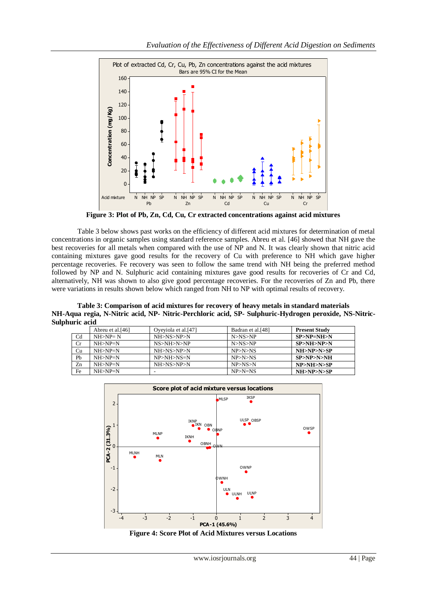

**Figure 3: Plot of Pb, Zn, Cd, Cu, Cr extracted concentrations against acid mixtures**

Table 3 below shows past works on the efficiency of different acid mixtures for determination of metal concentrations in organic samples using standard reference samples. Abreu et al. [46] showed that NH gave the best recoveries for all metals when compared with the use of NP and N. It was clearly shown that nitric acid containing mixtures gave good results for the recovery of Cu with preference to NH which gave higher percentage recoveries. Fe recovery was seen to follow the same trend with NH being the preferred method followed by NP and N. Sulphuric acid containing mixtures gave good results for recoveries of Cr and Cd, alternatively, NH was shown to also give good percentage recoveries. For the recoveries of Zn and Pb, there were variations in results shown below which ranged from NH to NP with optimal results of recovery.

**Table 3: Comparison of acid mixtures for recovery of heavy metals in standard materials NH-Aqua regia, N-Nitric acid, NP- Nitric-Perchloric acid, SP- Sulphuric-Hydrogen peroxide, NS-Nitric-Sulphuric acid**

|                | Abreu et al. <sup>[46]</sup> | Oveyiola et al.[47] | Badran et al.[48] | <b>Present Study</b> |
|----------------|------------------------------|---------------------|-------------------|----------------------|
| C <sub>d</sub> | $NH > NP = N$                | NH>NS>NP>N          | N>NS>NP           | $SP > NP = NH > N$   |
| Cr             | $NH > NP = N$                | NS > NH > N > NP    | N>NS>NP           | SP > NH > NP > N     |
| Cu             | $NH > NP = N$                | NH>NS>NP>N          | NP>N>NS           | NH>NP>N>SP           |
| Pb             | $NH > NP = N$                | $NP > NH > NS = N$  | NP>N>NS           | SP>NP>N>NH           |
| Zn             | $NH > NP = N$                | NH>NS>NP>N          | NP > NS > N       | NP>NH>N>SP           |
| Fe             | $NH > NP = N$                |                     | $NP>N=NS$         | NH>NP>N>SP           |



**Figure 4: Score Plot of Acid Mixtures versus Locations**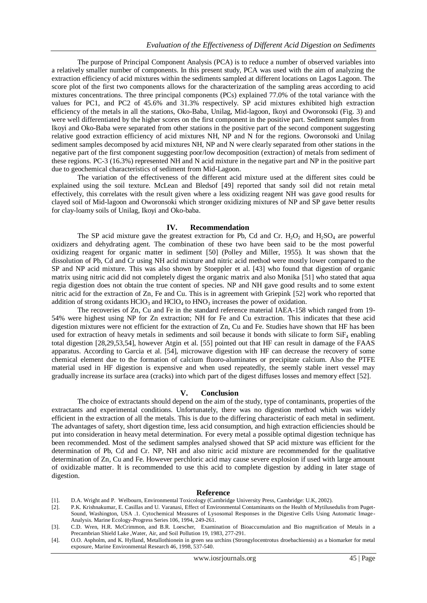The purpose of Principal Component Analysis (PCA) is to reduce a number of observed variables into a relatively smaller number of components. In this present study, PCA was used with the aim of analyzing the extraction efficiency of acid mixtures within the sediments sampled at different locations on Lagos Lagoon. The score plot of the first two components allows for the characterization of the sampling areas according to acid mixtures concentrations. The three principal components (PCs) explained 77.0% of the total variance with the values for PC1, and PC2 of 45.6% and 31.3% respectively. SP acid mixtures exhibited high extraction efficiency of the metals in all the stations, Oko-Baba, Unilag, Mid-lagoon, Ikoyi and Oworonsoki (Fig. 3) and were well differentiated by the higher scores on the first component in the positive part. Sediment samples from Ikoyi and Oko-Baba were separated from other stations in the positive part of the second component suggesting relative good extraction efficiency of acid mixtures NH, NP and N for the regions. Oworonsoki and Unilag sediment samples decomposed by acid mixtures NH, NP and N were clearly separated from other stations in the negative part of the first component suggesting poor/low decomposition (extraction) of metals from sediment of these regions. PC-3 (16.3%) represented NH and N acid mixture in the negative part and NP in the positive part due to geochemical characteristics of sediment from Mid-Lagoon.

The variation of the effectiveness of the different acid mixture used at the different sites could be explained using the soil texture. McLean and Bledsof [49] reported that sandy soil did not retain metal effectively, this correlates with the result given where a less oxidizing reagent NH was gave good results for clayed soil of Mid-lagoon and Oworonsoki which stronger oxidizing mixtures of NP and SP gave better results for clay-loamy soils of Unilag, Ikoyi and Oko-baba.

#### **IV. Recommendation**

The SP acid mixture gave the greatest extraction for Pb, Cd and Cr.  $H_2O_2$  and  $H_2SO_4$  are powerful oxidizers and dehydrating agent. The combination of these two have been said to be the most powerful oxidizing reagent for organic matter in sediment [50] (Polley and Miller, 1955). It was shown that the dissolution of Pb, Cd and Cr using NH acid mixture and nitric acid method were mostly lower compared to the SP and NP acid mixture. This was also shown by Stoeppler et al. [43] who found that digestion of organic matrix using nitric acid did not completely digest the organic matrix and also Monika [51] who stated that aqua regia digestion does not obtain the true content of species. NP and NH gave good results and to some extent nitric acid for the extraction of Zn, Fe and Cu. This is in agreement with Griepink [52] work who reported that addition of strong oxidants  $HClO<sub>3</sub>$  and  $HClO<sub>4</sub>$  to  $HNO<sub>3</sub>$  increases the power of oxidation.

The recoveries of Zn, Cu and Fe in the standard reference material IAEA-158 which ranged from 19- 54% were highest using NP for Zn extraction; NH for Fe and Cu extraction. This indicates that these acid digestion mixtures were not efficient for the extraction of Zn, Cu and Fe. Studies have shown that HF has been used for extraction of heavy metals in sediments and soil because it bonds with silicate to form  $SiF_4$  enabling total digestion [28,29,53,54], however Atgin et al. [55] pointed out that HF can result in damage of the FAAS apparatus. According to Garcia et al. [54], microwave digestion with HF can decrease the recovery of some chemical element due to the formation of calcium fluoro-aluminates or precipitate calcium. Also the PTFE material used in HF digestion is expensive and when used repeatedly, the seemly stable inert vessel may gradually increase its surface area (cracks) into which part of the digest diffuses losses and memory effect [52].

#### **V. Conclusion**

The choice of extractants should depend on the aim of the study, type of contaminants, properties of the extractants and experimental conditions. Unfortunately, there was no digestion method which was widely efficient in the extraction of all the metals. This is due to the differing characteristic of each metal in sediment. The advantages of safety, short digestion time, less acid consumption, and high extraction efficiencies should be put into consideration in heavy metal determination. For every metal a possible optimal digestion technique has been recommended. Most of the sediment samples analysed showed that SP acid mixture was efficient for the determination of Pb, Cd and Cr. NP, NH and also nitric acid mixture are recommended for the qualitative determination of Zn, Cu and Fe. However perchloric acid may cause severe explosion if used with large amount of oxidizable matter. It is recommended to use this acid to complete digestion by adding in later stage of digestion.

#### **Reference**

- [1]. D.A. Wright and P. Welbourn, Environmental Toxicology (Cambridge University Press, Cambridge: U.K, 2002).
- [2]. P.K. Krishnakumar, E. Casillas and U. Varanasi, Effect of Environmental Contaminants on the Health of Mytilusedulis from Puget-Sound, Washington, USA .1. Cytochemical Measures of Lysosomal Responses in the Digestive Cells Using Automatic Image-Analysis. Marine Ecology-Progress Series 106, 1994, 249-261.
- [3]. C.D. Wren, H.R. McCrimmon, and B.R. Loescher, Examination of Bioaccumulation and Bio magnification of Metals in a Precambrian Shield Lake ,Water, Air, and Soil Pollution 19, 1983, 277-291.
- [4]. O.O. Aspholm, and K. Hylland, Metallothionein in green sea urchins (Strongylocentrotus droebachiensis) as a biomarker for metal exposure, Marine Environmental Research 46, 1998, 537-540.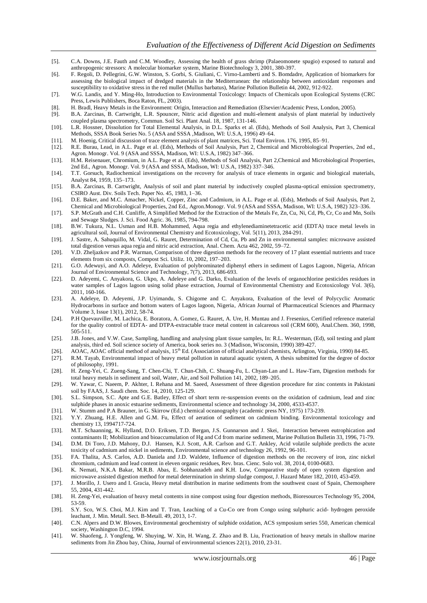- [5]. C.A. Downs, J.E. Fauth and C.M. Woodley, Assessing the health of grass shrimp (Palaeomonete spugio) exposed to natural and anthropogenic stressors: A molecular biomarker system, Marine Biotechnology 3, 2001, 380-397.
- [6]. F. Regoli, D. Pellegrini, G.W. Winston, S. Gorbi, S. Giuliani, C. Virno-Lamberti and S. Bomdadre, Application of biomarkers for assessing the biological impact of dredged materials in the Mediterranean: the relationship between antioxidant responses and susceptibility to oxidative stress in the red mullet (Mullus barbatus), Marine Pollution Bulletin 44, 2002, 912-922.
- [7]. W.G. Landis, and Y. Ming-Ho, Introduction to Environmental Toxicology: Impacts of Chemicals upon Ecological Systems (CRC Press, Lewis Publishers, Boca Raton, FL, 2003).
- [8]. H. Bradl, Heavy Metals in the Environment: Origin, Interaction and Remediation (Elsevier/Academic Press, London, 2005).
- [9]. B.A. Zarcinas, B. Cartwright, L.R. Spouncer, Nitric acid digestion and multi-element analysis of plant material by inductively coupled plasma spectrometry, Commun. Soil Sci. Plant Anal. 18, 1987, 131-146.
- [10]. L.R. Hossner, Dissolution for Total Elemental Analysis, in D.L. Sparks et al. (Eds), Methods of Soil Analysis, Part 3, Chemical Methods, SSSA Book Series No. 5 (ASA and SSSA ,Madison, WI: U.S.A, 1996) 49–64.
- [11]. M. Hoenig, Critical discussion of trace element analysis of plant matrices, Sci. Total Environ. 176, 1995, 85–91.
- [12]. R.E. Burau, Lead, in A.L. Page et al. (Eds), Methods of Soil Analysis, Part 2, Chemical and Microbiological Properties, 2nd ed., Agron. Monogr. Vol. 9 (ASA and SSSA, Madison, WI: U.S.A, 1982) 347–366.
- [13]. H.M. Reisenauer, Chromium, in A.L. Page et al. (Eds), Methods of Soil Analysis, Part 2,Chemical and Microbiological Properties, 2nd Ed., Agron. Monogr. Vol. 9 (ASA and SSSA, Madison, WI: U.S.A, 1982) 337–346.
- [14]. T.T. Gorsuch, Radiochemical investigations on the recovery for analysis of trace elements in organic and biological materials, Analyst 84, 1959, 135–173.
- [15]. B.A. Zarcinas, B. Cartwright, Analysis of soil and plant material by inductively coupled plasma-optical emission spectrometry, CSIRO Aust. Div. Soils Tech. Paper No. 45, 1983, 1–36.
- [16]. D.E. Baker, and M.C. Amacher, Nickel, Copper, Zinc and Cadmium, in A.L. Page et al. (Eds), Methods of Soil Analysis, Part 2, Chemical and Microbiological Properties, 2nd Ed., Agron.Monogr. Vol. 9 (ASA and SSSA, Madison, WI: U.S.A, 1982) 323–336.
- [17]. S.P. McGrath and C.H. Cunliffe, A Simplified Method for the Extraction of the Metals Fe, Zn, Cu, Ni, Cd, Pb, Cr, Co and Mn, Soils and Sewage Sludges. J. Sci. Food Agric. 36, 1985, 794-798.
- [18]. B.W. Tukura, N.L. Usman and H.B. Mohammed, Aqua regia and ethylenediaminetetracetic acid (EDTA) trace metal levels in agricultural soil, Journal of Environmental Chemistry and Ecotoxicology, Vol. 5(11), 2013, 284-291.
- [19]. J. Sastre, A. Sahuquillo, M. Vidal, G. Rauret, Determination of Cd, Cu, Pb and Zn in environmental samples: microwave assisted total digestion versus aqua regia and nitric acid extraction, Anal. Chem. Acta 462, 2002, 59–72.
- [20]. V.D. Zheljazkov and P.R. Warman, Comparison of three digestion methods for the recovery of 17 plant essential nutrients and trace elements from six composts, Compost Sci. Utiliz. 10, 2002, 197–203.
- [21]. G.O. Adewuyi, and A.O. Adeleye, Evaluation of polybrominated diphenyl ethers in sediment of Lagos Lagoon, Nigeria, African Journal of Environmental Science and Technology, 7(7), 2013, 686-693.
- [22]. D. Adeyemi, C. Anyakora, G. Ukpo, A. Adeleye and G. Darko, Evaluation of the levels of organochlorine pesticides residues in water samples of Lagos lagoon using solid phase extraction, Journal of Environmental Chemistry and Ecotoxicology Vol. 3(6), 2011, 160-166.
- [23]. A. Adeleye, D. Adeyemi, J.P. Uyimandu, S. Chigome and C. Anyakora, Evaluation of the level of Polycyclic Aromatic Hydrocarbons in surface and bottom waters of Lagos lagoon, Nigeria, African Journal of Pharmaceutical Sciences and Pharmacy Volume 3, Issue 13(1), 2012, 58-74.
- [24]. P.H Quevauviller, M. Lachica, E. Boratora, A. Gomez, G. Rauret, A. Ure, H. Muntau and J. Fresenius, Certified reference material for the quality control of EDTA- and DTPA-extractable trace metal content in calcareous soil (CRM 600), Anal.Chem. 360, 1998, 505-511.
- [25]. J.B. Jones, and V.W. Case, Sampling, handling and analysing plant tissue samples, In: R.L. Westerman, (Ed), soil testing and plant analysis, third ed. Soil science society of America, book series no. 3 (Madison, Wisconsin, 1990) 389-427.
- [26]. AOAC, AOAC official method of analysis, 15<sup>th</sup> Ed. (Association of official analytical chemists, Arlington, Virginia, 1990) 84-85.
- [27]. R.M. Tayab, Environmental impact of heavy metal pollution in natural aquatic system, A thesis submitted for the degree of doctor of philosophy, 1991.
- [28]. H. Zeng-Yei, C. Zueng-Sang, T. Chen-Chi, T. Chun-Chih, C. Shuang-Fu, L. Chyan-Lan and L. Haw-Tarn, Digestion methods for total heavy metals in sediment and soil, Water, Air, and Soil Pollution 141, 2002, 189–205.
- [29]. W. Yawar, C. Naeem, P. Akhter, I. Rehana and M. Saeed, Assessment of three digestion procedure for zinc contents in Pakistani soil by FAAS, J. Saudi chem. Soc. 14, 2010, 125-129.
- [30]. S.L. Simpson, S.C. Apte and G.E. Batley, Effect of short term re-suspension events on the oxidation of cadmium, lead and zinc sulphide phases in anoxic estuarine sediments, Environmental science and technology 34, 2000, 4533-4537.
- [31]. W. Stumm and P.A Brauner, in G. Skirrow (Ed.) chemical oceanography (academic press NY, 1975) 173-239.
- [32]. Y.Y. Zhuang, H.E. Allen and G.M. Fu, Effect of aeration of sediment on cadmium binding. Environmental toxicology and chemistry 13, 1994717-724.
- [33]. M.T. Schaanning, K. Hylland, D.O. Eriksen, T.D. Bergan, J.S. Gunnarson and J. Skei, Interaction between eutrophication and contaminants II; Mobilization and bioaccumulation of Hg and Cd from marine sediment, Marine Pollution Bulletin 33, 1996, 71-79.
- [34]. D.M. Di Toro, J.D. Mahony, D.J. Hansen, K.J. Scott, A.R. Carlson and G.T. Ankley, Acid volatile sulphide predicts the acute toxicity of cadmium and nickel in sediments, Environmental science and technology 26, 1992, 96-101.
- [35]. FA. Thalita, A.S. Carlos, A.D. Daniela and J.D. Waldete, Influence of digestion methods on the recovery of iron, zinc nickel chromium, cadmium and lead content in eleven organic residues, Rev. bras. Cienc. Solo vol. 38, 2014, 0100-0683.
- [36]. K. Nemati, N.K.A Bakar, M.R.B. Abas, E. Sobhanzadeh and K.H. Low, Comparative study of open system digestion and microwave assisted digestion method for metal determination in shrimp sludge compost, J. Hazard Mater 182, 2010, 453-459.
- [37]. J. Morillo, J. Usero and I. Gracia, Heavy metal distribution in marine sediments from the southwest coast of Spain, Chemosphere 55, 2004, 431-442.
- [38]. H. Zeng-Yei, evaluation of heavy metal contents in nine compost using four digestion methods, Bioresources Technology 95, 2004, 53-59.
- [39]. S.Y. Sco, W.S. Choi, M.J. Kim and T. Tran, Leaching of a Cu-Co ore from Congo using sulphuric acid- hydrogen peroxide leachant, J. Min. Metall. Sect. B-Metall. 49, 2013, 1-7.
- [40]. C.N. Alpers and D.W. Blowes, Environmental geochemistry of sulphide oxidation, ACS symposium series 550, American chemical society, Washington D.C, 1994.
- [41]. W. Shaofeng, J. Yongfeng, W. Shuying, W. Xin, H. Wang, Z. Zhao and B. Liu, Fractionation of heavy metals in shallow marine sediments from Jin Zhou bay, China, Journal of environmental sciences 22(1), 2010, 23-31.